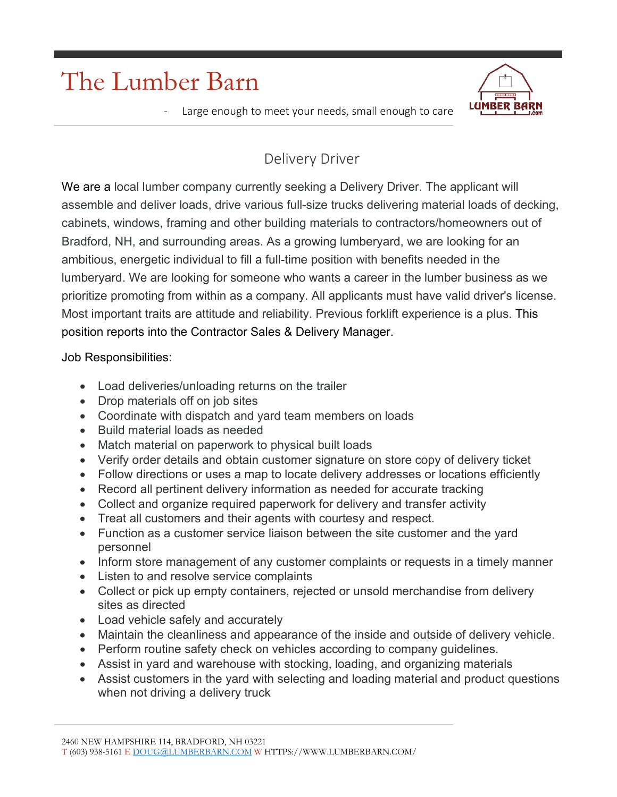## The Lumber Barn



Large enough to meet your needs, small enough to care

## Delivery Driver

We are a local lumber company currently seeking a Delivery Driver. The applicant will assemble and deliver loads, drive various full-size trucks delivering material loads of decking, cabinets, windows, framing and other building materials to contractors/homeowners out of Bradford, NH, and surrounding areas. As a growing lumberyard, we are looking for an ambitious, energetic individual to fill a full-time position with benefits needed in the lumberyard. We are looking for someone who wants a career in the lumber business as we prioritize promoting from within as a company. All applicants must have valid driver's license. Most important traits are attitude and reliability. Previous forklift experience is a plus. This position reports into the Contractor Sales & Delivery Manager.

Job Responsibilities:

- Load deliveries/unloading returns on the trailer
- Drop materials off on job sites
- Coordinate with dispatch and yard team members on loads
- Build material loads as needed
- Match material on paperwork to physical built loads
- Verify order details and obtain customer signature on store copy of delivery ticket
- Follow directions or uses a map to locate delivery addresses or locations efficiently
- Record all pertinent delivery information as needed for accurate tracking
- Collect and organize required paperwork for delivery and transfer activity
- Treat all customers and their agents with courtesy and respect.
- Function as a customer service liaison between the site customer and the yard personnel
- Inform store management of any customer complaints or requests in a timely manner
- Listen to and resolve service complaints
- Collect or pick up empty containers, rejected or unsold merchandise from delivery sites as directed
- Load vehicle safely and accurately
- Maintain the cleanliness and appearance of the inside and outside of delivery vehicle.
- Perform routine safety check on vehicles according to company quidelines.
- Assist in yard and warehouse with stocking, loading, and organizing materials
- Assist customers in the yard with selecting and loading material and product questions when not driving a delivery truck